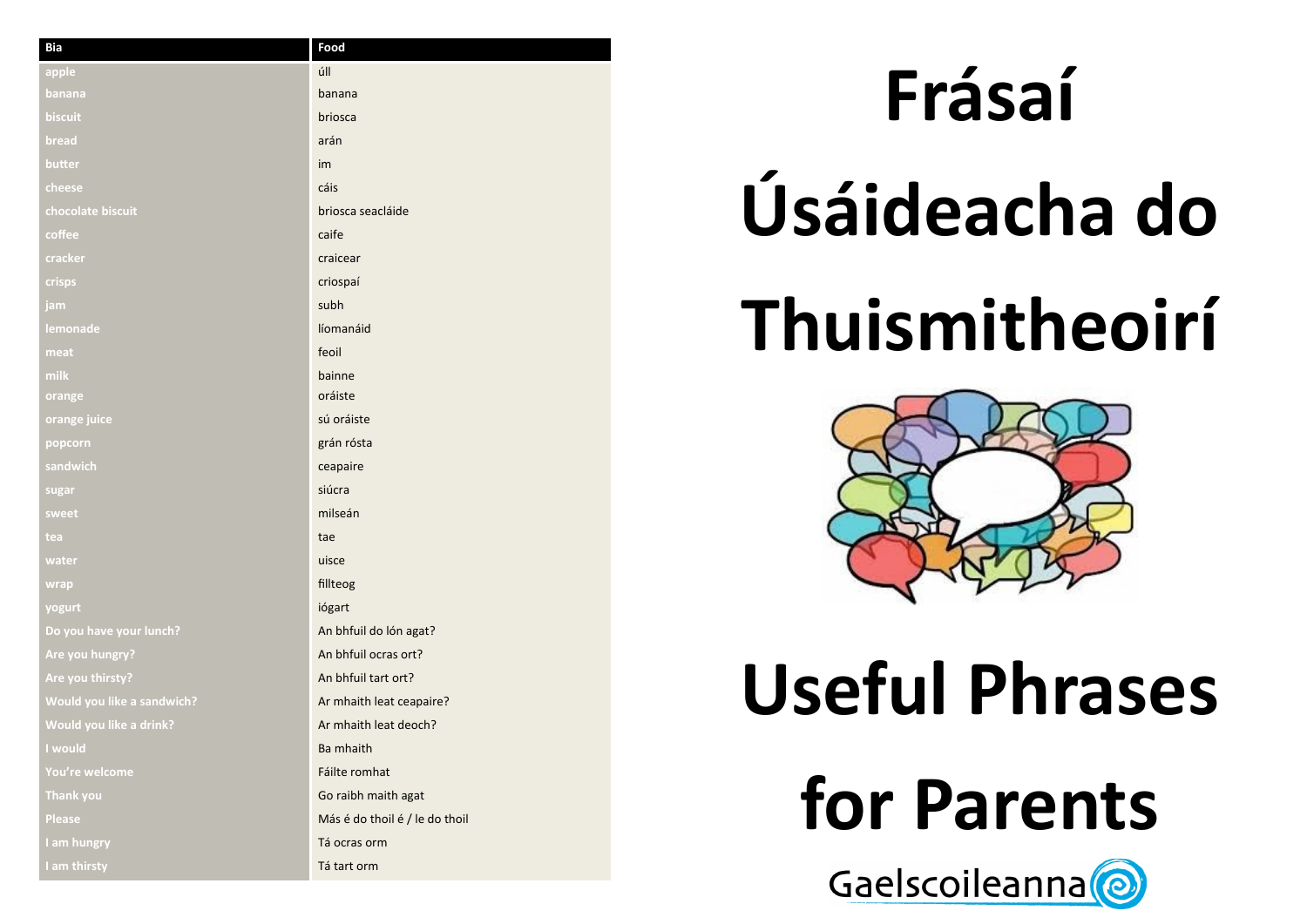| <b>Bia</b>                 | Food                           |
|----------------------------|--------------------------------|
| apple                      | úll                            |
| banana                     | banana                         |
| biscuit                    | briosca                        |
| bread                      | arán                           |
| butter                     | im                             |
| cheese                     | cáis                           |
| chocolate biscuit          | briosca seacláide              |
| coffee                     | caife                          |
| cracker                    | craicear                       |
| crisps                     | criospaí                       |
| jam                        | subh                           |
| lemonade                   | líomanáid                      |
| meat                       | feoil                          |
| milk                       | bainne                         |
| orange                     | oráiste                        |
| orange juice               | sú oráiste                     |
| popcorn                    | grán rósta                     |
| sandwich                   | ceapaire                       |
| sugar                      | siúcra                         |
| sweet                      | milseán                        |
| tea                        | tae                            |
| water                      | uisce                          |
| wrap                       | fillteog                       |
| yogurt                     | iógart                         |
| Do you have your lunch?    | An bhfuil do lón agat?         |
| Are you hungry?            | An bhfuil ocras ort?           |
| Are you thirsty?           | An bhfuil tart ort?            |
| Would you like a sandwich? | Ar mhaith leat ceapaire?       |
| Would you like a drink?    | Ar mhaith leat deoch?          |
| I would                    | Ba mhaith                      |
| You're welcome             | Fáilte romhat                  |
| <b>Thank you</b>           | Go raibh maith agat            |
| <b>Please</b>              | Más é do thoil é / le do thoil |
| I am hungry                | Tá ocras orm                   |
| I am thirsty               | Tá tart orm                    |

## Gaelscoileanna.<sup>o</sup> **Useful Phrases for Parents**

# **Frásaí Úsáideacha do Thuismitheoirí**

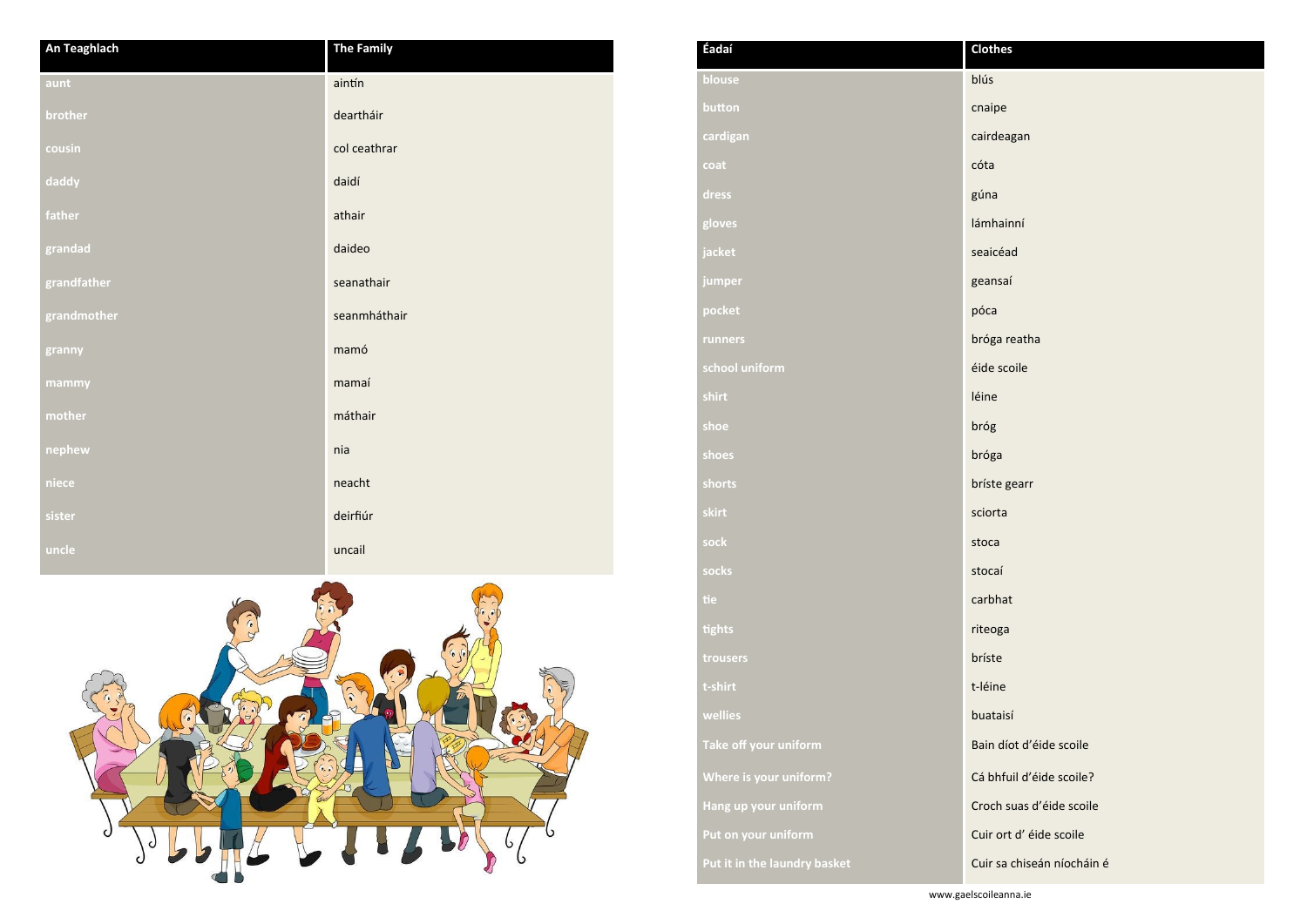| An Teaghlach | <b>The Family</b> |
|--------------|-------------------|
| aunt         | aintín            |
| brother      | deartháir         |
| cousin       | col ceathrar      |
| daddy        | daidí             |
| father       | athair            |
| grandad      | daideo            |
| grandfather  | seanathair        |
| grandmother  | seanmháthair      |
| granny       | mamó              |
| mammy        | mamaí             |
| mother       | máthair           |
| nephew       | nia               |
| niece        | neacht            |
| sister       | deirfiúr          |
| uncle        | uncail            |



www.gaelscoileanna.ie

| Éadaí                        | <b>Clothes</b>   |
|------------------------------|------------------|
| blouse                       | blús             |
| button                       | cnaipe           |
| cardigan                     | cairdeag         |
| coat                         | cóta             |
| dress                        | gúna             |
| gloves                       | lámhainr         |
| jacket                       | seaicéad         |
| jumper                       | geansaí          |
| pocket                       | póca             |
| runners                      | bróga re         |
| school uniform               | éide scoi        |
| shirt                        | léine            |
| shoe                         | bróg             |
| shoes                        | bróga            |
| shorts                       | bríste ge        |
| skirt                        | sciorta          |
| sock                         | stoca            |
| socks                        | stocaí           |
| tie                          | carbhat          |
| tights                       | riteoga          |
| trousers                     | bríste           |
| t-shirt                      | t-léine          |
| wellies                      | buataisí         |
| Take off your uniform        | <b>Bain díot</b> |
| Where is your uniform?       | Cá bhfuil        |
| Hang up your uniform         | Croch su         |
| Put on your uniform          | Cuir ort         |
| Put it in the laundry basket | Cuir sa cl       |
|                              |                  |

deagan

**hainní** 

ga reatha

**scoile** 

**shorts** bríste gearr

n díot d'éide scoile

bhfuil d'éide scoile?

ch suas d'éide scoile

**Put d'éide scoile** 

r sa chiseán níocháin é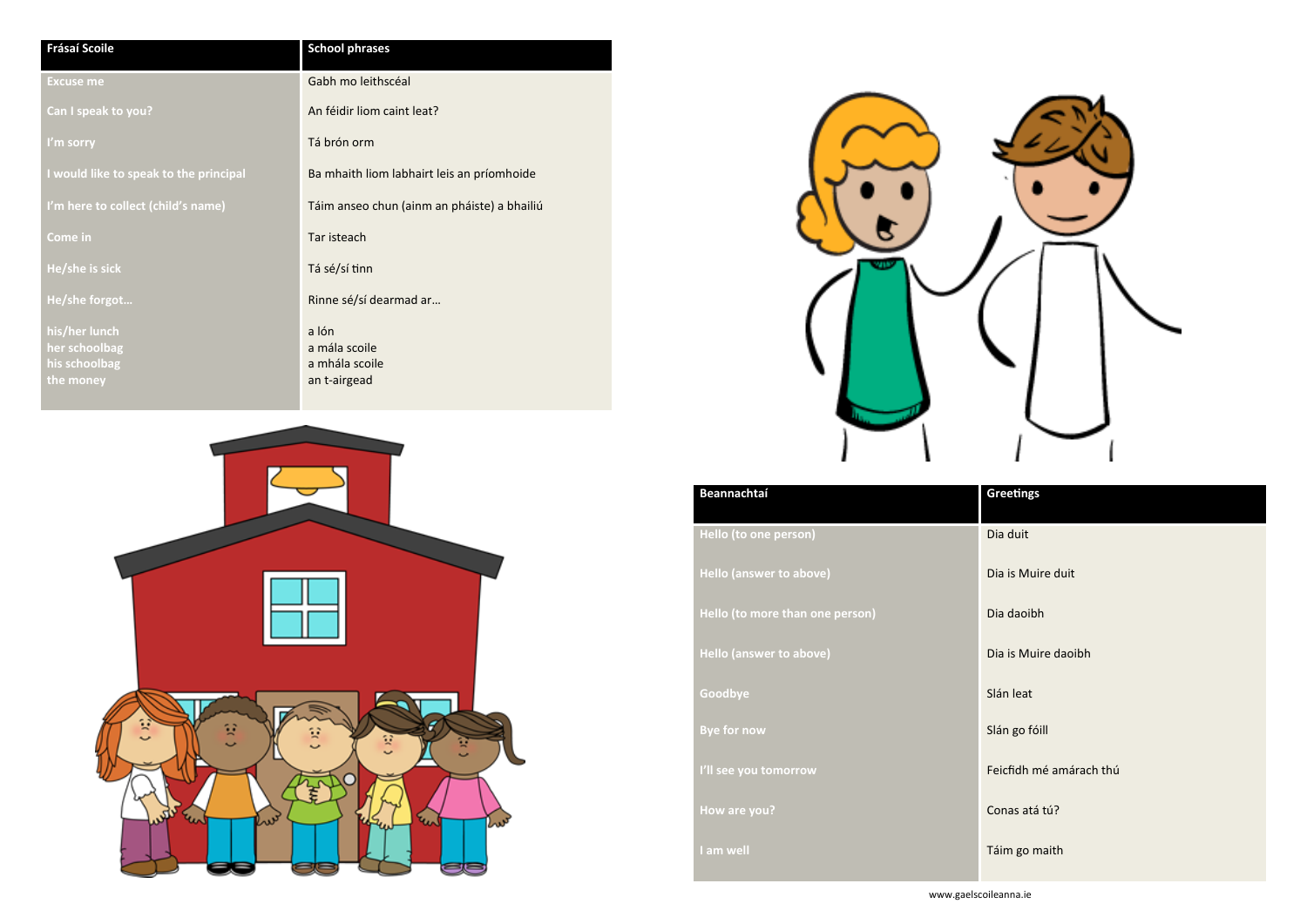| <b>Frásaí Scoile</b>                   | <b>School phrases</b>                       |
|----------------------------------------|---------------------------------------------|
| <b>Excuse me</b>                       | Gabh mo leithscéal                          |
| Can I speak to you?                    | An féidir liom caint leat?                  |
| I'm sorry                              | Tá brón orm                                 |
| I would like to speak to the principal | Ba mhaith liom labhairt leis an príomhoide  |
| I'm here to collect (child's name)     | Táim anseo chun (ainm an pháiste) a bhailiú |
| Come in                                | Tar isteach                                 |
| He/she is sick                         | Tá sé/sí tinn                               |
| He/she forgot                          | Rinne sé/sí dearmad ar                      |
| his/her lunch                          | a lón                                       |
| her schoolbag                          | a mála scoile                               |
| his schoolbag                          | a mhála scoile                              |
| the money                              | an t-airgead                                |





| Beannachtal                     |
|---------------------------------|
| Hello (to one person)           |
| <b>Hello (answer to above)</b>  |
| Hello (to more than one person) |
| <b>Hello (answer to above)</b>  |
| Goodbye<br><b>Bye for now</b>   |
| I'll see you tomorrow           |
| How are you?                    |
| I am well                       |
|                                 |

## **Greetings**

**Hello (to one person)** Dia duit

**Dia is Muire duit** 

**Hello (to more than one person)** Dia daoibh

**Dia is Muire daoibh** 

**Slán leat** 

**Slán go fóill** 

**I'll see you tomorrow** Feicfidh mé amárach thú

**Conas atá tú?** 

**Táim go maith**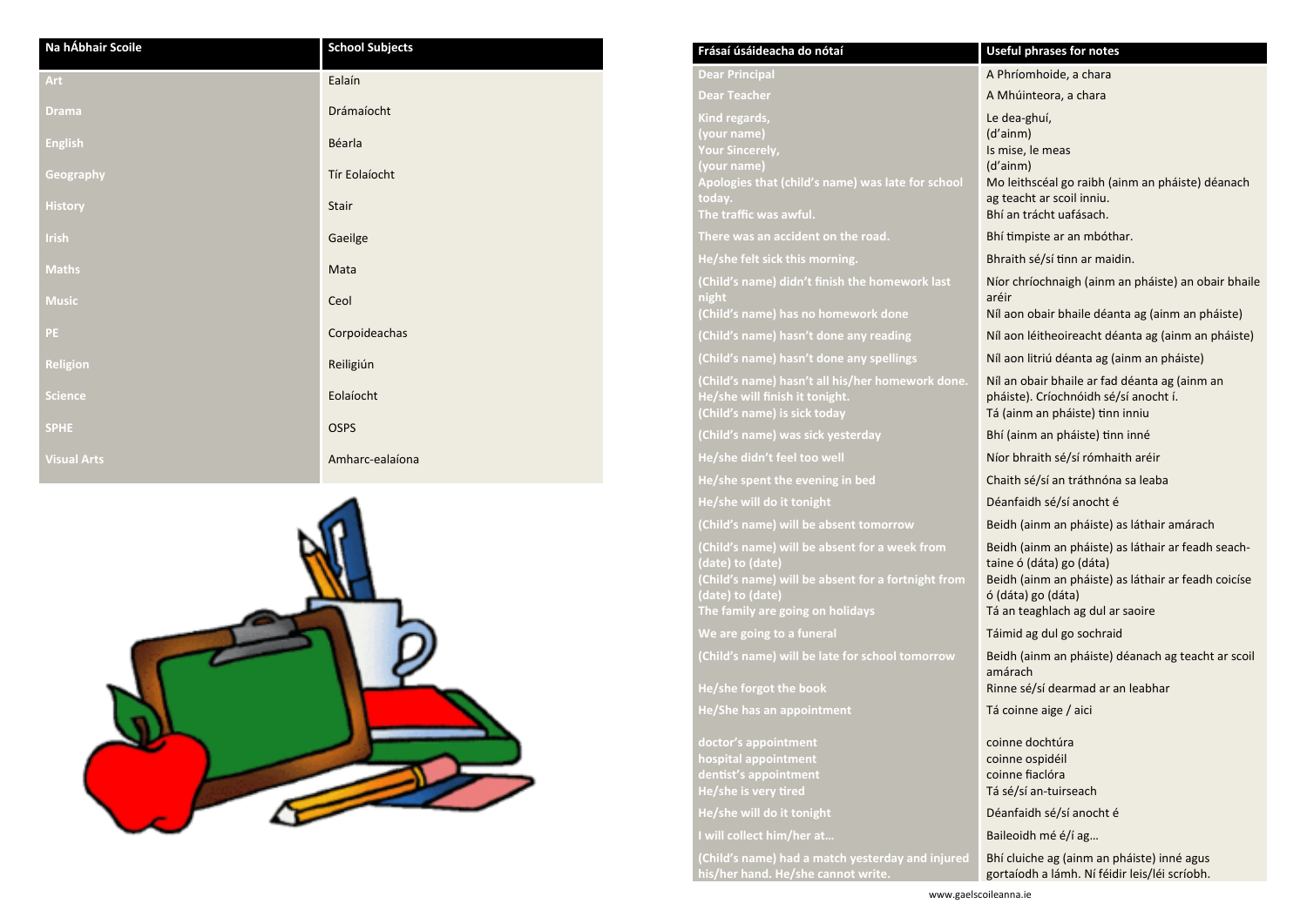| Na hÁbhair Scoile  | <b>School Subjects</b> |
|--------------------|------------------------|
| Art                | Ealaín                 |
| <b>Drama</b>       | Drámaíocht             |
| <b>English</b>     | Béarla                 |
| Geography          | Tír Eolaíocht          |
| <b>History</b>     | Stair                  |
| <b>Irish</b>       | Gaeilge                |
| <b>Maths</b>       | Mata                   |
| <b>Music</b>       | Ceol                   |
| <b>PE</b>          | Corpoideachas          |
| <b>Religion</b>    | Reiligiún              |
| <b>Science</b>     | Eolaíocht              |
| <b>SPHE</b>        | <b>OSPS</b>            |
| <b>Visual Arts</b> | Amharc-ealaíona        |



- **Dear Principal** A Phríomhoide, a chara
- A Mhúinteora, a chara
- Le dea -ghuí,
- (d'ainm)
- Is mise, le meas
- (d'ainm)
- Mo leithscéal go raibh (ainm an pháiste) déanach ag teacht ar scoil inniu.
- **Bhí an trácht uafásach.**
- Bhí timpiste ar an mbóthar.
- Bhraith sé/sí tinn ar maidin.
- Níor chríochnaigh (ainm an pháiste) an obair bhaile aréir
- **Níl aon obair bhaile déanta ag (ainm an pháiste)**
- **Níl aon léitheoireacht déanta ag (ainm an pháiste)**
- **Níl aon litriú déanta ag (ainm an pháiste)**
- Níl an obair bhaile ar fad déanta ag (ainm an pháiste). Críochnóidh sé/sí anocht í. **(Child's name) is sick today** Tá (ainm an pháiste) tinn inniu
- Bhí (ainm an pháiste) tinn inné
- **He/she didn't feel too well** Níor bhraith sé/sí rómhaith aréir
- **Chaith sé/sí an tráthnóna sa leaba**
- Déanfaidh sé/sí anocht é
- Beidh (ainm an pháiste) as láthair amárach
- Beidh (ainm an pháiste) as láthair ar feadh seachtaine ó (dáta) go (dáta)
- Beidh (ainm an pháiste) as láthair ar feadh coicíse ó (dáta) go (dáta)
- Tá an teaghlach ag dul ar saoire
- Táimid ag dul go sochraid
- Beidh (ainm an pháiste) déanach ag teacht ar scoil amárach
- **He/she forgot the book** Rinne sé/sí dearmad ar an leabhar
- Tá coinne aige / aici
- coinne dochtúra coinne ospidéil coinne fiaclóra Tá sé/sí an-tuirseach
- **He/she will do it tonight** Déanfaidh sé/sí anocht é
	-
	- Bhí cluiche ag (ainm an pháiste) inné agus gortaíodh a lámh. Ní féidir leis/léi scríobh.
	- www.gaelscoileanna.ie

**doctor's appointment hospital appointment dentist's appointment He/she is very tired** 

**I will collect him/her at... I will collect him/her at...** Baileoidh mé é/í ag...

| Frásaí úsáideacha do nótaí                                                                                                                                                      |
|---------------------------------------------------------------------------------------------------------------------------------------------------------------------------------|
| <b>Dear Principal</b>                                                                                                                                                           |
| <b>Dear Teacher</b>                                                                                                                                                             |
| Kind regards,<br>(your name)<br><b>Your Sincerely,</b><br>(your name)<br>Apologies that (child's name) was late for school<br>today.                                            |
| The traffic was awful.                                                                                                                                                          |
| There was an accident on the road.                                                                                                                                              |
| He/she felt sick this morning.                                                                                                                                                  |
| (Child's name) didn't finish the homework last<br>night                                                                                                                         |
| (Child's name) has no homework done                                                                                                                                             |
| (Child's name) hasn't done any reading                                                                                                                                          |
| (Child's name) hasn't done any spellings                                                                                                                                        |
| (Child's name) hasn't all his/her homework done.<br>He/she will finish it tonight.<br>(Child's name) is sick today                                                              |
| (Child's name) was sick yesterday                                                                                                                                               |
| He/she didn't feel too well                                                                                                                                                     |
| He/she spent the evening in bed                                                                                                                                                 |
| He/she will do it tonight                                                                                                                                                       |
| (Child's name) will be absent tomorrow                                                                                                                                          |
| (Child's name) will be absent for a week from<br>(date) to (date)<br>(Child's name) will be absent for a fortnight from<br>(date) to (date)<br>The family are going on holidays |
| We are going to a funeral                                                                                                                                                       |
| (Child's name) will be late for school tomorrow                                                                                                                                 |
| He/she forgot the book                                                                                                                                                          |
| <b>He/She has an appointment</b>                                                                                                                                                |

**(Child's name) had a match yesterday and injured his/her hand. He/she cannot write.**

### **Useful phrases for notes**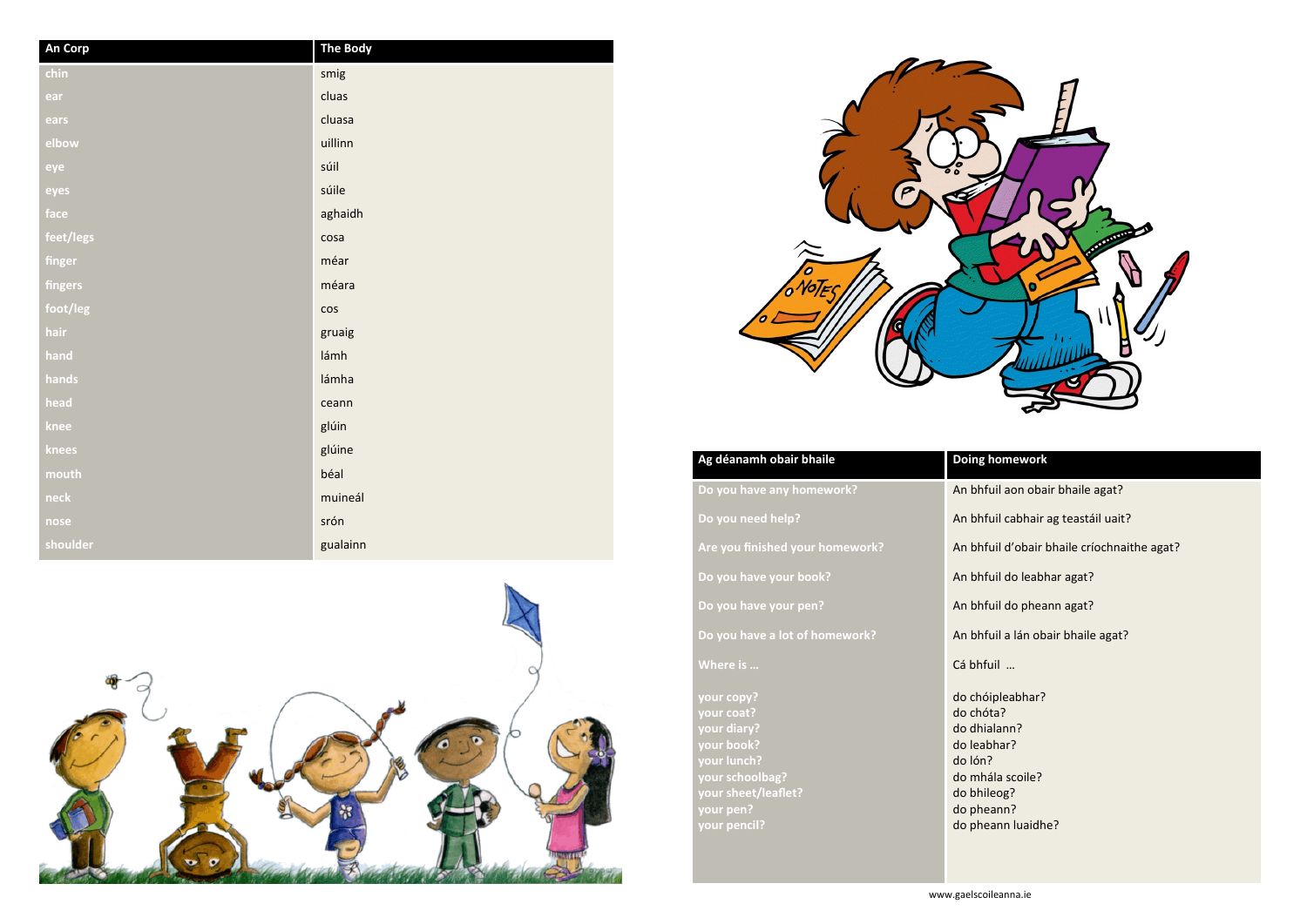| An Corp   | <b>The Body</b> |
|-----------|-----------------|
| chin      | smig            |
| ear       | cluas           |
| ears      | cluasa          |
| elbow     | uillinn         |
| eye       | súil            |
| eyes      | súile           |
| face      | aghaidh         |
| feet/legs | cosa            |
| finger    | méar            |
| fingers   | méara           |
| foot/leg  | $\cos$          |
| hair      | gruaig          |
| hand      | lámh            |
| hands     | lámha           |
| head      | ceann           |
| knee      | glúin           |
| knees     | glúine          |
| mouth     | béal            |
| neck      | muineál         |
| nose      | srón            |
| shoulder  | gualainn        |





## **homework**

- fuil aon obair bhaile agat?
- fuil cabhair ag teastáil uait?
- fuil d'obair bhaile críochnaithe agat?
- fuil do leabhar agat?
- fuil do pheann agat?
- fuil a lán obair bhaile agat?
- $\mathsf{full}$  …
- óipleabhar? óta? ialann? bhar? nála scoile? eann luaidhe?

| Ag déanamh obair bhaile                                                                                                                     | <b>Doing home</b>                                                                                                            |
|---------------------------------------------------------------------------------------------------------------------------------------------|------------------------------------------------------------------------------------------------------------------------------|
| Do you have any homework?                                                                                                                   | An bhfuil ac                                                                                                                 |
| Do you need help?                                                                                                                           | An bhfuil ca                                                                                                                 |
| Are you finished your homework?                                                                                                             | An bhfuil d'                                                                                                                 |
| Do you have your book?                                                                                                                      | An bhfuil do                                                                                                                 |
| Do you have your pen?                                                                                                                       | An bhfuil do                                                                                                                 |
| Do you have a lot of homework?                                                                                                              | An bhfuil a l                                                                                                                |
| Where is                                                                                                                                    | Cá bhfuil                                                                                                                    |
| your copy?<br>your coat?<br>your diary?<br>your book?<br>your lunch?<br>your schoolbag?<br>your sheet/leaflet?<br>your pen?<br>your pencil? | do chóiplea<br>do chóta?<br>do dhialann<br>do leabhar?<br>do lón?<br>do mhála sc<br>do bhileog?<br>do pheann?<br>do pheann l |